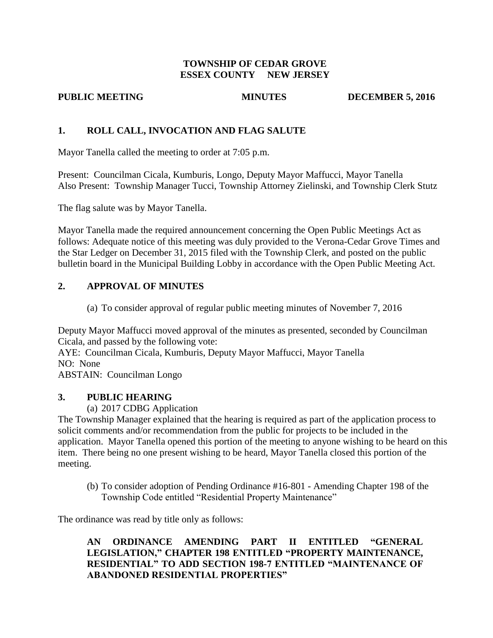#### **TOWNSHIP OF CEDAR GROVE ESSEX COUNTY NEW JERSEY**

**PUBLIC MEETING MINUTES DECEMBER 5, 2016** 

## **1. ROLL CALL, INVOCATION AND FLAG SALUTE**

Mayor Tanella called the meeting to order at 7:05 p.m.

Present: Councilman Cicala, Kumburis, Longo, Deputy Mayor Maffucci, Mayor Tanella Also Present: Township Manager Tucci, Township Attorney Zielinski, and Township Clerk Stutz

The flag salute was by Mayor Tanella.

Mayor Tanella made the required announcement concerning the Open Public Meetings Act as follows: Adequate notice of this meeting was duly provided to the Verona-Cedar Grove Times and the Star Ledger on December 31, 2015 filed with the Township Clerk, and posted on the public bulletin board in the Municipal Building Lobby in accordance with the Open Public Meeting Act.

# **2. APPROVAL OF MINUTES**

(a) To consider approval of regular public meeting minutes of November 7, 2016

Deputy Mayor Maffucci moved approval of the minutes as presented, seconded by Councilman Cicala, and passed by the following vote:

AYE: Councilman Cicala, Kumburis, Deputy Mayor Maffucci, Mayor Tanella NO: None

ABSTAIN: Councilman Longo

## **3. PUBLIC HEARING**

(a) 2017 CDBG Application

The Township Manager explained that the hearing is required as part of the application process to solicit comments and/or recommendation from the public for projects to be included in the application. Mayor Tanella opened this portion of the meeting to anyone wishing to be heard on this item. There being no one present wishing to be heard, Mayor Tanella closed this portion of the meeting.

(b) To consider adoption of Pending Ordinance #16-801 - Amending Chapter 198 of the Township Code entitled "Residential Property Maintenance"

The ordinance was read by title only as follows:

**AN ORDINANCE AMENDING PART II ENTITLED "GENERAL LEGISLATION," CHAPTER 198 ENTITLED "PROPERTY MAINTENANCE, RESIDENTIAL" TO ADD SECTION 198-7 ENTITLED "MAINTENANCE OF ABANDONED RESIDENTIAL PROPERTIES"**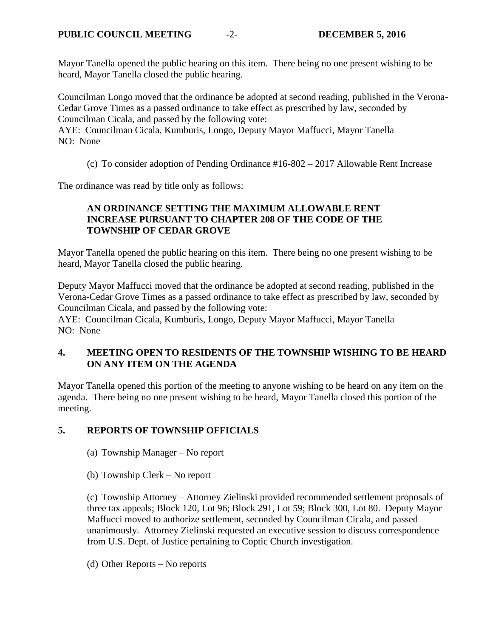Mayor Tanella opened the public hearing on this item. There being no one present wishing to be heard, Mayor Tanella closed the public hearing.

Councilman Longo moved that the ordinance be adopted at second reading, published in the Verona-Cedar Grove Times as a passed ordinance to take effect as prescribed by law, seconded by Councilman Cicala, and passed by the following vote:

AYE: Councilman Cicala, Kumburis, Longo, Deputy Mayor Maffucci, Mayor Tanella NO: None

(c) To consider adoption of Pending Ordinance #16-802 – 2017 Allowable Rent Increase

The ordinance was read by title only as follows:

## **AN ORDINANCE SETTING THE MAXIMUM ALLOWABLE RENT INCREASE PURSUANT TO CHAPTER 208 OF THE CODE OF THE TOWNSHIP OF CEDAR GROVE**

Mayor Tanella opened the public hearing on this item. There being no one present wishing to be heard, Mayor Tanella closed the public hearing.

Deputy Mayor Maffucci moved that the ordinance be adopted at second reading, published in the Verona-Cedar Grove Times as a passed ordinance to take effect as prescribed by law, seconded by Councilman Cicala, and passed by the following vote:

AYE: Councilman Cicala, Kumburis, Longo, Deputy Mayor Maffucci, Mayor Tanella NO: None

## **4. MEETING OPEN TO RESIDENTS OF THE TOWNSHIP WISHING TO BE HEARD ON ANY ITEM ON THE AGENDA**

Mayor Tanella opened this portion of the meeting to anyone wishing to be heard on any item on the agenda. There being no one present wishing to be heard, Mayor Tanella closed this portion of the meeting.

## **5. REPORTS OF TOWNSHIP OFFICIALS**

- (a) Township Manager No report
- (b) Township Clerk No report

(c) Township Attorney – Attorney Zielinski provided recommended settlement proposals of three tax appeals; Block 120, Lot 96; Block 291, Lot 59; Block 300, Lot 80. Deputy Mayor Maffucci moved to authorize settlement, seconded by Councilman Cicala, and passed unanimously. Attorney Zielinski requested an executive session to discuss correspondence from U.S. Dept. of Justice pertaining to Coptic Church investigation.

(d) Other Reports – No reports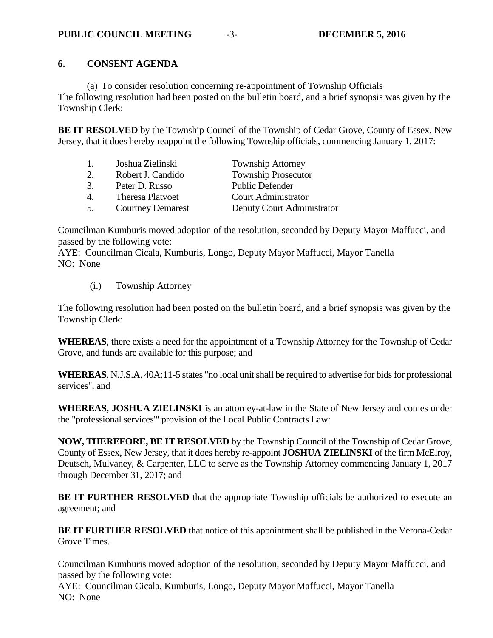## **6. CONSENT AGENDA**

(a) To consider resolution concerning re-appointment of Township Officials The following resolution had been posted on the bulletin board, and a brief synopsis was given by the Township Clerk:

**BE IT RESOLVED** by the Township Council of the Township of Cedar Grove, County of Essex, New Jersey, that it does hereby reappoint the following Township officials, commencing January 1, 2017:

| Joshua Zielinski<br><b>Township Attorney</b><br>1.                        |  |
|---------------------------------------------------------------------------|--|
| <b>Township Prosecutor</b><br>Robert J. Candido<br>2.                     |  |
| 3.<br><b>Public Defender</b><br>Peter D. Russo                            |  |
| <b>Court Administrator</b><br><b>Theresa Platvoet</b><br>$\overline{4}$ . |  |
| 5.<br>Deputy Court Administrator<br><b>Courtney Demarest</b>              |  |

Councilman Kumburis moved adoption of the resolution, seconded by Deputy Mayor Maffucci, and passed by the following vote:

AYE: Councilman Cicala, Kumburis, Longo, Deputy Mayor Maffucci, Mayor Tanella NO: None

(i.) Township Attorney

The following resolution had been posted on the bulletin board, and a brief synopsis was given by the Township Clerk:

**WHEREAS**, there exists a need for the appointment of a Township Attorney for the Township of Cedar Grove, and funds are available for this purpose; and

**WHEREAS**, N.J.S.A. 40A:11-5 states "no local unit shall be required to advertise for bids for professional services", and

**WHEREAS, JOSHUA ZIELINSKI** is an attorney-at-law in the State of New Jersey and comes under the "professional services"' provision of the Local Public Contracts Law:

**NOW, THEREFORE, BE IT RESOLVED** by the Township Council of the Township of Cedar Grove, County of Essex, New Jersey, that it does hereby re-appoint **JOSHUA ZIELINSKI** of the firm McElroy, Deutsch, Mulvaney, & Carpenter, LLC to serve as the Township Attorney commencing January 1, 2017 through December 31, 2017; and

**BE IT FURTHER RESOLVED** that the appropriate Township officials be authorized to execute an agreement; and

**BE IT FURTHER RESOLVED** that notice of this appointment shall be published in the Verona-Cedar Grove Times.

Councilman Kumburis moved adoption of the resolution, seconded by Deputy Mayor Maffucci, and passed by the following vote:

AYE: Councilman Cicala, Kumburis, Longo, Deputy Mayor Maffucci, Mayor Tanella NO: None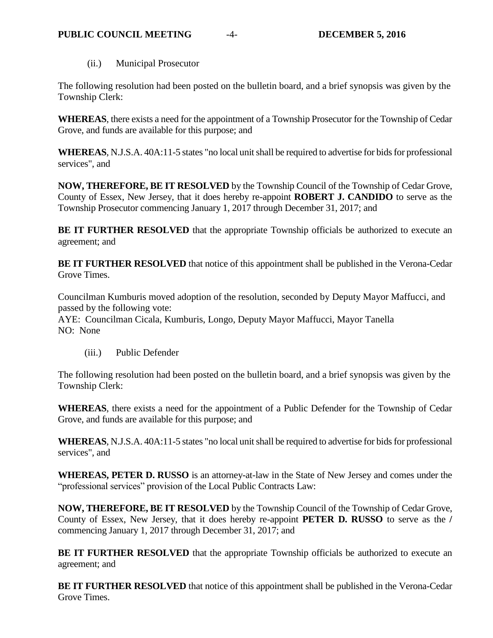(ii.) Municipal Prosecutor

The following resolution had been posted on the bulletin board, and a brief synopsis was given by the Township Clerk:

**WHEREAS**, there exists a need for the appointment of a Township Prosecutor for the Township of Cedar Grove, and funds are available for this purpose; and

**WHEREAS**, N.J.S.A. 40A:11-5 states "no local unit shall be required to advertise for bids for professional services", and

**NOW, THEREFORE, BE IT RESOLVED** by the Township Council of the Township of Cedar Grove, County of Essex, New Jersey, that it does hereby re-appoint **ROBERT J. CANDIDO** to serve as the Township Prosecutor commencing January 1, 2017 through December 31, 2017; and

**BE IT FURTHER RESOLVED** that the appropriate Township officials be authorized to execute an agreement; and

**BE IT FURTHER RESOLVED** that notice of this appointment shall be published in the Verona-Cedar Grove Times.

Councilman Kumburis moved adoption of the resolution, seconded by Deputy Mayor Maffucci, and passed by the following vote:

AYE: Councilman Cicala, Kumburis, Longo, Deputy Mayor Maffucci, Mayor Tanella NO: None

(iii.) Public Defender

The following resolution had been posted on the bulletin board, and a brief synopsis was given by the Township Clerk:

**WHEREAS**, there exists a need for the appointment of a Public Defender for the Township of Cedar Grove, and funds are available for this purpose; and

**WHEREAS**, N.J.S.A. 40A:11-5 states "no local unit shall be required to advertise for bids for professional services", and

**WHEREAS, PETER D. RUSSO** is an attorney-at-law in the State of New Jersey and comes under the "professional services" provision of the Local Public Contracts Law:

**NOW, THEREFORE, BE IT RESOLVED** by the Township Council of the Township of Cedar Grove, County of Essex, New Jersey, that it does hereby re-appoint **PETER D. RUSSO** to serve as the **/** commencing January 1, 2017 through December 31, 2017; and

**BE IT FURTHER RESOLVED** that the appropriate Township officials be authorized to execute an agreement; and

**BE IT FURTHER RESOLVED** that notice of this appointment shall be published in the Verona-Cedar Grove Times.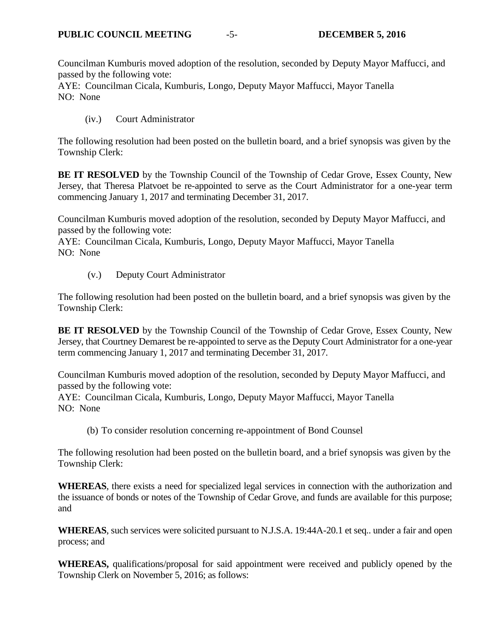Councilman Kumburis moved adoption of the resolution, seconded by Deputy Mayor Maffucci, and passed by the following vote:

AYE: Councilman Cicala, Kumburis, Longo, Deputy Mayor Maffucci, Mayor Tanella NO: None

(iv.) Court Administrator

The following resolution had been posted on the bulletin board, and a brief synopsis was given by the Township Clerk:

**BE IT RESOLVED** by the Township Council of the Township of Cedar Grove, Essex County, New Jersey, that Theresa Platvoet be re-appointed to serve as the Court Administrator for a one-year term commencing January 1, 2017 and terminating December 31, 2017.

Councilman Kumburis moved adoption of the resolution, seconded by Deputy Mayor Maffucci, and passed by the following vote:

AYE: Councilman Cicala, Kumburis, Longo, Deputy Mayor Maffucci, Mayor Tanella NO: None

(v.) Deputy Court Administrator

The following resolution had been posted on the bulletin board, and a brief synopsis was given by the Township Clerk:

**BE IT RESOLVED** by the Township Council of the Township of Cedar Grove, Essex County, New Jersey, that Courtney Demarest be re-appointed to serve as the Deputy Court Administrator for a one-year term commencing January 1, 2017 and terminating December 31, 2017.

Councilman Kumburis moved adoption of the resolution, seconded by Deputy Mayor Maffucci, and passed by the following vote:

AYE: Councilman Cicala, Kumburis, Longo, Deputy Mayor Maffucci, Mayor Tanella NO: None

(b) To consider resolution concerning re-appointment of Bond Counsel

The following resolution had been posted on the bulletin board, and a brief synopsis was given by the Township Clerk:

**WHEREAS**, there exists a need for specialized legal services in connection with the authorization and the issuance of bonds or notes of the Township of Cedar Grove, and funds are available for this purpose; and

**WHEREAS**, such services were solicited pursuant to N.J.S.A. 19:44A-20.1 et seq.. under a fair and open process; and

**WHEREAS,** qualifications/proposal for said appointment were received and publicly opened by the Township Clerk on November 5, 2016; as follows: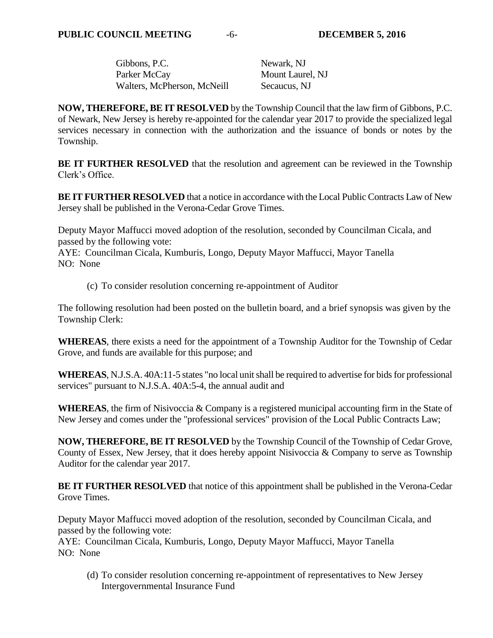| Gibbons, P.C.               | Newark, NJ       |
|-----------------------------|------------------|
| Parker McCay                | Mount Laurel, NJ |
| Walters, McPherson, McNeill | Secaucus, NJ     |

**NOW, THEREFORE, BE IT RESOLVED** by the Township Council that the law firm of Gibbons, P.C. of Newark, New Jersey is hereby re-appointed for the calendar year 2017 to provide the specialized legal services necessary in connection with the authorization and the issuance of bonds or notes by the Township.

**BE IT FURTHER RESOLVED** that the resolution and agreement can be reviewed in the Township Clerk's Office.

**BE IT FURTHER RESOLVED** that a notice in accordance with the Local Public Contracts Law of New Jersey shall be published in the Verona-Cedar Grove Times.

Deputy Mayor Maffucci moved adoption of the resolution, seconded by Councilman Cicala, and passed by the following vote:

AYE: Councilman Cicala, Kumburis, Longo, Deputy Mayor Maffucci, Mayor Tanella NO: None

(c) To consider resolution concerning re-appointment of Auditor

The following resolution had been posted on the bulletin board, and a brief synopsis was given by the Township Clerk:

**WHEREAS**, there exists a need for the appointment of a Township Auditor for the Township of Cedar Grove, and funds are available for this purpose; and

**WHEREAS**, N.J.S.A. 40A:11-5 states "no local unit shall be required to advertise for bids for professional services" pursuant to N.J.S.A. 40A:5-4, the annual audit and

**WHEREAS**, the firm of Nisivoccia & Company is a registered municipal accounting firm in the State of New Jersey and comes under the "professional services" provision of the Local Public Contracts Law;

**NOW, THEREFORE, BE IT RESOLVED** by the Township Council of the Township of Cedar Grove, County of Essex, New Jersey, that it does hereby appoint Nisivoccia & Company to serve as Township Auditor for the calendar year 2017.

**BE IT FURTHER RESOLVED** that notice of this appointment shall be published in the Verona-Cedar Grove Times.

Deputy Mayor Maffucci moved adoption of the resolution, seconded by Councilman Cicala, and passed by the following vote:

AYE: Councilman Cicala, Kumburis, Longo, Deputy Mayor Maffucci, Mayor Tanella NO: None

(d) To consider resolution concerning re-appointment of representatives to New Jersey Intergovernmental Insurance Fund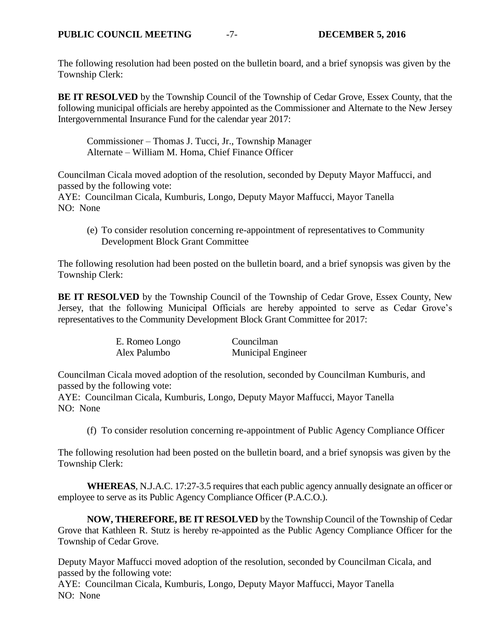The following resolution had been posted on the bulletin board, and a brief synopsis was given by the Township Clerk:

**BE IT RESOLVED** by the Township Council of the Township of Cedar Grove, Essex County, that the following municipal officials are hereby appointed as the Commissioner and Alternate to the New Jersey Intergovernmental Insurance Fund for the calendar year 2017:

Commissioner – Thomas J. Tucci, Jr., Township Manager Alternate – William M. Homa, Chief Finance Officer

Councilman Cicala moved adoption of the resolution, seconded by Deputy Mayor Maffucci, and passed by the following vote:

AYE: Councilman Cicala, Kumburis, Longo, Deputy Mayor Maffucci, Mayor Tanella NO: None

(e) To consider resolution concerning re-appointment of representatives to Community Development Block Grant Committee

The following resolution had been posted on the bulletin board, and a brief synopsis was given by the Township Clerk:

**BE IT RESOLVED** by the Township Council of the Township of Cedar Grove, Essex County, New Jersey, that the following Municipal Officials are hereby appointed to serve as Cedar Grove's representatives to the Community Development Block Grant Committee for 2017:

| E. Romeo Longo | Councilman                |
|----------------|---------------------------|
| Alex Palumbo   | <b>Municipal Engineer</b> |

Councilman Cicala moved adoption of the resolution, seconded by Councilman Kumburis, and passed by the following vote:

AYE: Councilman Cicala, Kumburis, Longo, Deputy Mayor Maffucci, Mayor Tanella NO: None

(f) To consider resolution concerning re-appointment of Public Agency Compliance Officer

The following resolution had been posted on the bulletin board, and a brief synopsis was given by the Township Clerk:

**WHEREAS**, N.J.A.C. 17:27-3.5 requires that each public agency annually designate an officer or employee to serve as its Public Agency Compliance Officer (P.A.C.O.).

**NOW, THEREFORE, BE IT RESOLVED** by the Township Council of the Township of Cedar Grove that Kathleen R. Stutz is hereby re-appointed as the Public Agency Compliance Officer for the Township of Cedar Grove.

Deputy Mayor Maffucci moved adoption of the resolution, seconded by Councilman Cicala, and passed by the following vote:

AYE: Councilman Cicala, Kumburis, Longo, Deputy Mayor Maffucci, Mayor Tanella NO: None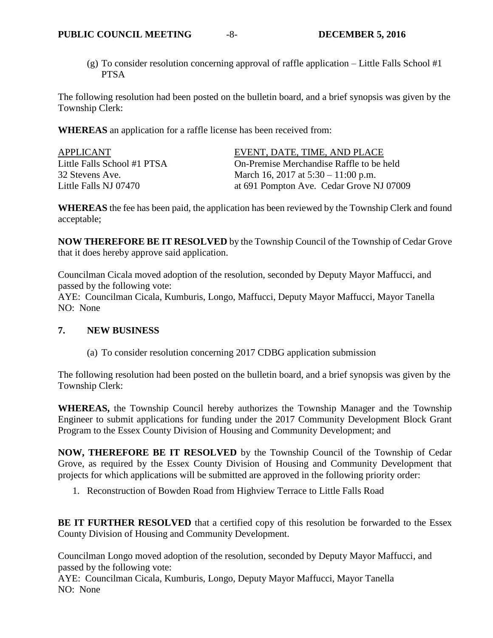(g) To consider resolution concerning approval of raffle application – Little Falls School #1 PTSA

The following resolution had been posted on the bulletin board, and a brief synopsis was given by the Township Clerk:

**WHEREAS** an application for a raffle license has been received from:

| APPLICANT                   | EVENT, DATE, TIME, AND PLACE             |
|-----------------------------|------------------------------------------|
| Little Falls School #1 PTSA | On-Premise Merchandise Raffle to be held |
| 32 Stevens Ave.             | March 16, 2017 at $5:30 - 11:00$ p.m.    |
| Little Falls NJ 07470       | at 691 Pompton Ave. Cedar Grove NJ 07009 |

**WHEREAS** the fee has been paid, the application has been reviewed by the Township Clerk and found acceptable;

**NOW THEREFORE BE IT RESOLVED** by the Township Council of the Township of Cedar Grove that it does hereby approve said application.

Councilman Cicala moved adoption of the resolution, seconded by Deputy Mayor Maffucci, and passed by the following vote:

AYE: Councilman Cicala, Kumburis, Longo, Maffucci, Deputy Mayor Maffucci, Mayor Tanella NO: None

## **7. NEW BUSINESS**

(a) To consider resolution concerning 2017 CDBG application submission

The following resolution had been posted on the bulletin board, and a brief synopsis was given by the Township Clerk:

**WHEREAS,** the Township Council hereby authorizes the Township Manager and the Township Engineer to submit applications for funding under the 2017 Community Development Block Grant Program to the Essex County Division of Housing and Community Development; and

**NOW, THEREFORE BE IT RESOLVED** by the Township Council of the Township of Cedar Grove, as required by the Essex County Division of Housing and Community Development that projects for which applications will be submitted are approved in the following priority order:

1. Reconstruction of Bowden Road from Highview Terrace to Little Falls Road

BE IT FURTHER RESOLVED that a certified copy of this resolution be forwarded to the Essex County Division of Housing and Community Development.

Councilman Longo moved adoption of the resolution, seconded by Deputy Mayor Maffucci, and passed by the following vote:

AYE: Councilman Cicala, Kumburis, Longo, Deputy Mayor Maffucci, Mayor Tanella NO: None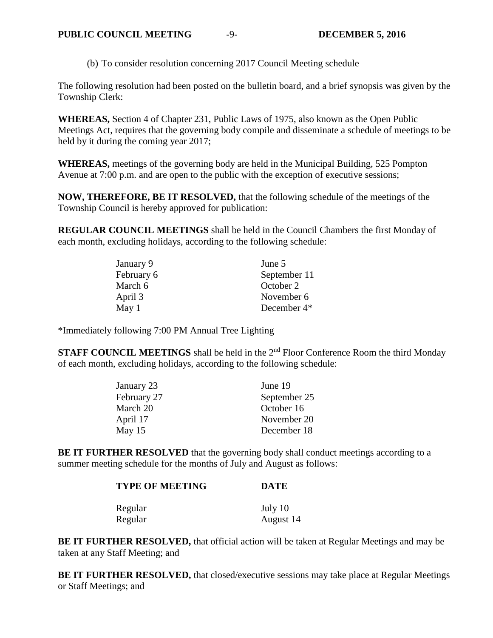(b) To consider resolution concerning 2017 Council Meeting schedule

The following resolution had been posted on the bulletin board, and a brief synopsis was given by the Township Clerk:

**WHEREAS,** Section 4 of Chapter 231, Public Laws of 1975, also known as the Open Public Meetings Act, requires that the governing body compile and disseminate a schedule of meetings to be held by it during the coming year 2017;

**WHEREAS,** meetings of the governing body are held in the Municipal Building, 525 Pompton Avenue at 7:00 p.m. and are open to the public with the exception of executive sessions;

**NOW, THEREFORE, BE IT RESOLVED,** that the following schedule of the meetings of the Township Council is hereby approved for publication:

**REGULAR COUNCIL MEETINGS** shall be held in the Council Chambers the first Monday of each month, excluding holidays, according to the following schedule:

| January 9  | June 5                  |
|------------|-------------------------|
| February 6 | September 11            |
| March 6    | October 2               |
| April 3    | November 6              |
| May 1      | December 4 <sup>*</sup> |

\*Immediately following 7:00 PM Annual Tree Lighting

**STAFF COUNCIL MEETINGS** shall be held in the 2<sup>nd</sup> Floor Conference Room the third Monday of each month, excluding holidays, according to the following schedule:

| January 23  | June 19      |
|-------------|--------------|
| February 27 | September 25 |
| March 20    | October 16   |
| April 17    | November 20  |
| May $15$    | December 18  |

BE IT FURTHER RESOLVED that the governing body shall conduct meetings according to a summer meeting schedule for the months of July and August as follows:

| <b>TYPE OF MEETING</b> | <b>DATE</b> |  |
|------------------------|-------------|--|
| Regular                | July 10     |  |
| Regular                | August 14   |  |

**BE IT FURTHER RESOLVED, that official action will be taken at Regular Meetings and may be** taken at any Staff Meeting; and

**BE IT FURTHER RESOLVED,** that closed/executive sessions may take place at Regular Meetings or Staff Meetings; and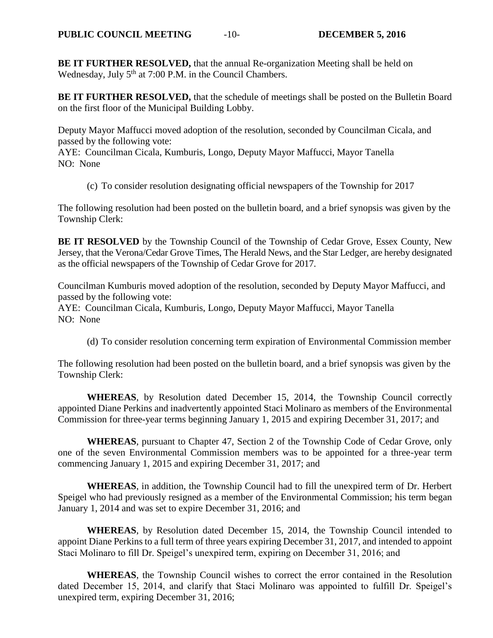**BE IT FURTHER RESOLVED,** that the annual Re-organization Meeting shall be held on Wednesday, July 5<sup>th</sup> at 7:00 P.M. in the Council Chambers.

**BE IT FURTHER RESOLVED,** that the schedule of meetings shall be posted on the Bulletin Board on the first floor of the Municipal Building Lobby.

Deputy Mayor Maffucci moved adoption of the resolution, seconded by Councilman Cicala, and passed by the following vote:

AYE: Councilman Cicala, Kumburis, Longo, Deputy Mayor Maffucci, Mayor Tanella NO: None

(c) To consider resolution designating official newspapers of the Township for 2017

The following resolution had been posted on the bulletin board, and a brief synopsis was given by the Township Clerk:

**BE IT RESOLVED** by the Township Council of the Township of Cedar Grove, Essex County, New Jersey, that the Verona/Cedar Grove Times, The Herald News, and the Star Ledger, are hereby designated as the official newspapers of the Township of Cedar Grove for 2017.

Councilman Kumburis moved adoption of the resolution, seconded by Deputy Mayor Maffucci, and passed by the following vote:

AYE: Councilman Cicala, Kumburis, Longo, Deputy Mayor Maffucci, Mayor Tanella NO: None

(d) To consider resolution concerning term expiration of Environmental Commission member

The following resolution had been posted on the bulletin board, and a brief synopsis was given by the Township Clerk:

**WHEREAS**, by Resolution dated December 15, 2014, the Township Council correctly appointed Diane Perkins and inadvertently appointed Staci Molinaro as members of the Environmental Commission for three-year terms beginning January 1, 2015 and expiring December 31, 2017; and

**WHEREAS**, pursuant to Chapter 47, Section 2 of the Township Code of Cedar Grove, only one of the seven Environmental Commission members was to be appointed for a three-year term commencing January 1, 2015 and expiring December 31, 2017; and

**WHEREAS**, in addition, the Township Council had to fill the unexpired term of Dr. Herbert Speigel who had previously resigned as a member of the Environmental Commission; his term began January 1, 2014 and was set to expire December 31, 2016; and

**WHEREAS**, by Resolution dated December 15, 2014, the Township Council intended to appoint Diane Perkins to a full term of three years expiring December 31, 2017, and intended to appoint Staci Molinaro to fill Dr. Speigel's unexpired term, expiring on December 31, 2016; and

**WHEREAS**, the Township Council wishes to correct the error contained in the Resolution dated December 15, 2014, and clarify that Staci Molinaro was appointed to fulfill Dr. Speigel's unexpired term, expiring December 31, 2016;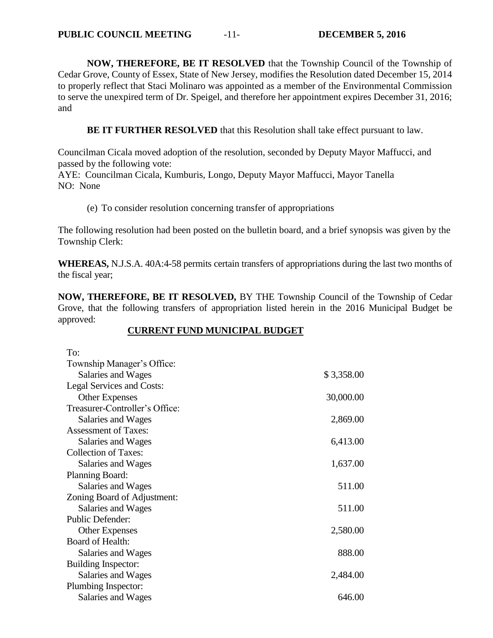**NOW, THEREFORE, BE IT RESOLVED** that the Township Council of the Township of Cedar Grove, County of Essex, State of New Jersey, modifies the Resolution dated December 15, 2014 to properly reflect that Staci Molinaro was appointed as a member of the Environmental Commission to serve the unexpired term of Dr. Speigel, and therefore her appointment expires December 31, 2016; and

**BE IT FURTHER RESOLVED** that this Resolution shall take effect pursuant to law.

Councilman Cicala moved adoption of the resolution, seconded by Deputy Mayor Maffucci, and passed by the following vote:

AYE: Councilman Cicala, Kumburis, Longo, Deputy Mayor Maffucci, Mayor Tanella NO: None

(e) To consider resolution concerning transfer of appropriations

The following resolution had been posted on the bulletin board, and a brief synopsis was given by the Township Clerk:

**WHEREAS,** N.J.S.A. 40A:4-58 permits certain transfers of appropriations during the last two months of the fiscal year;

**NOW, THEREFORE, BE IT RESOLVED,** BY THE Township Council of the Township of Cedar Grove, that the following transfers of appropriation listed herein in the 2016 Municipal Budget be approved:

#### **CURRENT FUND MUNICIPAL BUDGET**

| To:                            |            |
|--------------------------------|------------|
| Township Manager's Office:     |            |
| Salaries and Wages             | \$3,358.00 |
| Legal Services and Costs:      |            |
| <b>Other Expenses</b>          | 30,000.00  |
| Treasurer-Controller's Office: |            |
| Salaries and Wages             | 2,869.00   |
| <b>Assessment of Taxes:</b>    |            |
| Salaries and Wages             | 6,413.00   |
| <b>Collection of Taxes:</b>    |            |
| Salaries and Wages             | 1,637.00   |
| Planning Board:                |            |
| Salaries and Wages             | 511.00     |
| Zoning Board of Adjustment:    |            |
| Salaries and Wages             | 511.00     |
| Public Defender:               |            |
| <b>Other Expenses</b>          | 2,580.00   |
| Board of Health:               |            |
| Salaries and Wages             | 888.00     |
| Building Inspector:            |            |
| Salaries and Wages             | 2,484.00   |
| Plumbing Inspector:            |            |
| Salaries and Wages             | 646.00     |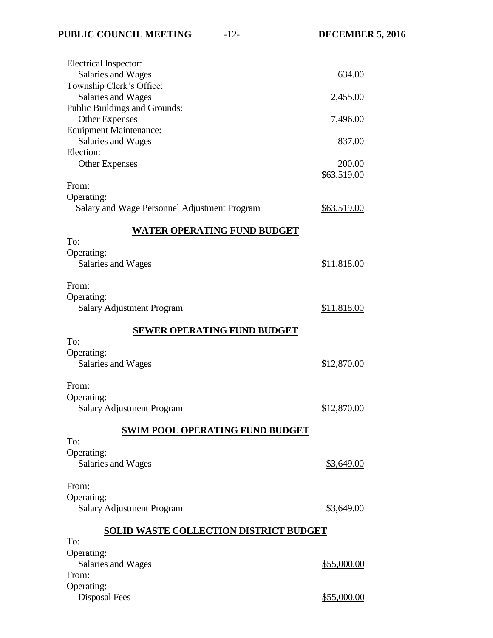| Electrical Inspector:                                      |                    |
|------------------------------------------------------------|--------------------|
| Salaries and Wages                                         | 634.00             |
| Township Clerk's Office:                                   |                    |
| Salaries and Wages                                         | 2,455.00           |
| Public Buildings and Grounds:                              |                    |
| <b>Other Expenses</b>                                      | 7,496.00           |
| <b>Equipment Maintenance:</b>                              |                    |
| Salaries and Wages                                         | 837.00             |
| Election:                                                  |                    |
| <b>Other Expenses</b>                                      | <u>200.00</u>      |
|                                                            | \$63,519.00        |
| From:                                                      |                    |
| Operating:<br>Salary and Wage Personnel Adjustment Program |                    |
|                                                            | <u>\$63,519.00</u> |
| <b>WATER OPERATING FUND BUDGET</b>                         |                    |
| To:                                                        |                    |
| Operating:                                                 |                    |
| Salaries and Wages                                         | \$11,818.00        |
|                                                            |                    |
| From:                                                      |                    |
| Operating:                                                 |                    |
| Salary Adjustment Program                                  | \$11,818.00        |
|                                                            |                    |
| <b>SEWER OPERATING FUND BUDGET</b>                         |                    |
| To:                                                        |                    |
| Operating:                                                 |                    |
| Salaries and Wages                                         | \$12,870.00        |
|                                                            |                    |
| From:                                                      |                    |
| Operating:                                                 |                    |
| <b>Salary Adjustment Program</b>                           | \$12,870.00        |
| <b>SWIM POOL OPERATING FUND BUDGET</b>                     |                    |
| To:                                                        |                    |
| Operating:                                                 |                    |
| Salaries and Wages                                         | \$3,649.00         |
|                                                            |                    |
| From:                                                      |                    |
| Operating:                                                 |                    |
| <b>Salary Adjustment Program</b>                           | \$3,649.00         |
|                                                            |                    |
| <b>SOLID WASTE COLLECTION DISTRICT BUDGET</b>              |                    |
| To:                                                        |                    |
| Operating:                                                 |                    |
| Salaries and Wages                                         | \$55,000.00        |
| From:                                                      |                    |
| Operating:                                                 |                    |
| <b>Disposal Fees</b>                                       | \$55,000.00        |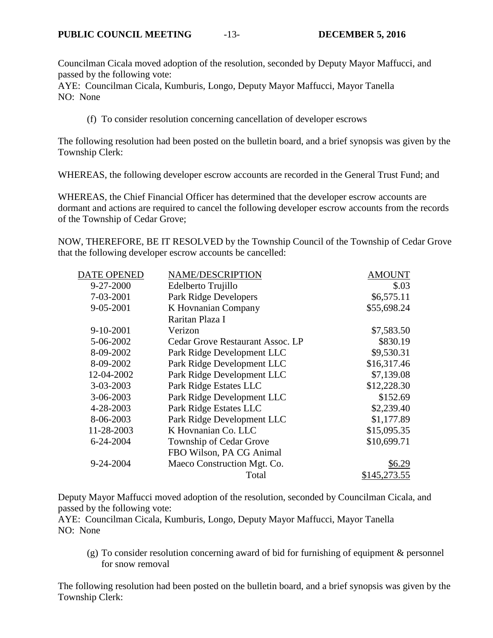Councilman Cicala moved adoption of the resolution, seconded by Deputy Mayor Maffucci, and passed by the following vote:

AYE: Councilman Cicala, Kumburis, Longo, Deputy Mayor Maffucci, Mayor Tanella NO: None

(f) To consider resolution concerning cancellation of developer escrows

The following resolution had been posted on the bulletin board, and a brief synopsis was given by the Township Clerk:

WHEREAS, the following developer escrow accounts are recorded in the General Trust Fund; and

WHEREAS, the Chief Financial Officer has determined that the developer escrow accounts are dormant and actions are required to cancel the following developer escrow accounts from the records of the Township of Cedar Grove;

NOW, THEREFORE, BE IT RESOLVED by the Township Council of the Township of Cedar Grove that the following developer escrow accounts be cancelled:

| DATE OPENED | NAME/DESCRIPTION                 | <b>AMOUNT</b> |
|-------------|----------------------------------|---------------|
| 9-27-2000   | Edelberto Trujillo               | \$.03         |
| 7-03-2001   | Park Ridge Developers            | \$6,575.11    |
| 9-05-2001   | K Hovnanian Company              | \$55,698.24   |
|             | Raritan Plaza I                  |               |
| $9-10-2001$ | Verizon                          | \$7,583.50    |
| 5-06-2002   | Cedar Grove Restaurant Assoc. LP | \$830.19      |
| 8-09-2002   | Park Ridge Development LLC       | \$9,530.31    |
| 8-09-2002   | Park Ridge Development LLC       | \$16,317.46   |
| 12-04-2002  | Park Ridge Development LLC       | \$7,139.08    |
| 3-03-2003   | Park Ridge Estates LLC           | \$12,228.30   |
| 3-06-2003   | Park Ridge Development LLC       | \$152.69      |
| 4-28-2003   | Park Ridge Estates LLC           | \$2,239.40    |
| 8-06-2003   | Park Ridge Development LLC       | \$1,177.89    |
| 11-28-2003  | K Hovnanian Co. LLC              | \$15,095.35   |
| 6-24-2004   | Township of Cedar Grove          | \$10,699.71   |
|             | FBO Wilson, PA CG Animal         |               |
| 9-24-2004   | Maeco Construction Mgt. Co.      | \$6.29        |
|             | Total                            | \$145,273.55  |

Deputy Mayor Maffucci moved adoption of the resolution, seconded by Councilman Cicala, and passed by the following vote:

AYE: Councilman Cicala, Kumburis, Longo, Deputy Mayor Maffucci, Mayor Tanella NO: None

(g) To consider resolution concerning award of bid for furnishing of equipment & personnel for snow removal

The following resolution had been posted on the bulletin board, and a brief synopsis was given by the Township Clerk: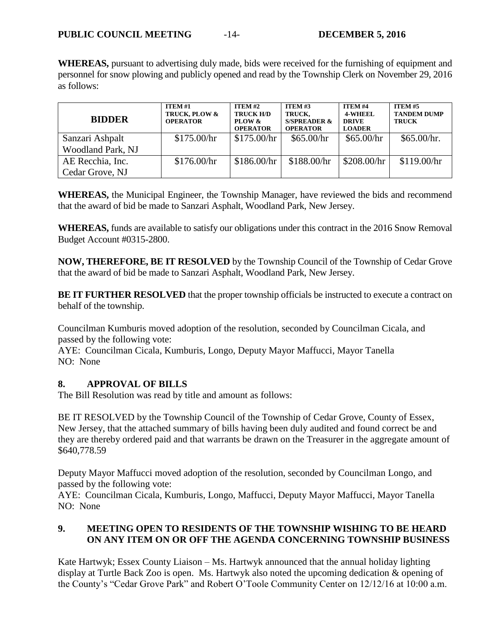**WHEREAS,** pursuant to advertising duly made, bids were received for the furnishing of equipment and personnel for snow plowing and publicly opened and read by the Township Clerk on November 29, 2016 as follows:

| <b>BIDDER</b>     | <b>ITEM #1</b><br>TRUCK, PLOW &<br><b>OPERATOR</b> | $ITEM #2$<br><b>TRUCK H/D</b><br>PLOW &<br><b>OPERATOR</b> | <b>ITEM #3</b><br>TRUCK,<br>S/SPREADER $\&$<br><b>OPERATOR</b> | <b>ITEM#4</b><br><b>4-WHEEL</b><br><b>DRIVE</b><br><b>LOADER</b> | <b>ITEM #5</b><br><b>TANDEM DUMP</b><br><b>TRUCK</b> |
|-------------------|----------------------------------------------------|------------------------------------------------------------|----------------------------------------------------------------|------------------------------------------------------------------|------------------------------------------------------|
| Sanzari Ashpalt   | \$175.00/hr                                        | \$175.00/hr                                                | \$65.00/hr                                                     | \$65.00/hr                                                       | \$65.00/hr.                                          |
| Woodland Park, NJ |                                                    |                                                            |                                                                |                                                                  |                                                      |
| AE Recchia, Inc.  | \$176.00/hr                                        | \$186.00/hr                                                | \$188.00/hr                                                    | \$208.00/hr                                                      | \$119.00/hr                                          |
| Cedar Grove, NJ   |                                                    |                                                            |                                                                |                                                                  |                                                      |

**WHEREAS,** the Municipal Engineer, the Township Manager, have reviewed the bids and recommend that the award of bid be made to Sanzari Asphalt, Woodland Park, New Jersey.

**WHEREAS,** funds are available to satisfy our obligations under this contract in the 2016 Snow Removal Budget Account #0315-2800.

**NOW, THEREFORE, BE IT RESOLVED** by the Township Council of the Township of Cedar Grove that the award of bid be made to Sanzari Asphalt, Woodland Park, New Jersey.

**BE IT FURTHER RESOLVED** that the proper township officials be instructed to execute a contract on behalf of the township.

Councilman Kumburis moved adoption of the resolution, seconded by Councilman Cicala, and passed by the following vote:

AYE: Councilman Cicala, Kumburis, Longo, Deputy Mayor Maffucci, Mayor Tanella NO: None

## **8. APPROVAL OF BILLS**

The Bill Resolution was read by title and amount as follows:

BE IT RESOLVED by the Township Council of the Township of Cedar Grove, County of Essex, New Jersey, that the attached summary of bills having been duly audited and found correct be and they are thereby ordered paid and that warrants be drawn on the Treasurer in the aggregate amount of \$640,778.59

Deputy Mayor Maffucci moved adoption of the resolution, seconded by Councilman Longo, and passed by the following vote:

AYE: Councilman Cicala, Kumburis, Longo, Maffucci, Deputy Mayor Maffucci, Mayor Tanella NO: None

# **9. MEETING OPEN TO RESIDENTS OF THE TOWNSHIP WISHING TO BE HEARD ON ANY ITEM ON OR OFF THE AGENDA CONCERNING TOWNSHIP BUSINESS**

Kate Hartwyk; Essex County Liaison – Ms. Hartwyk announced that the annual holiday lighting display at Turtle Back Zoo is open. Ms. Hartwyk also noted the upcoming dedication & opening of the County's "Cedar Grove Park" and Robert O'Toole Community Center on 12/12/16 at 10:00 a.m.